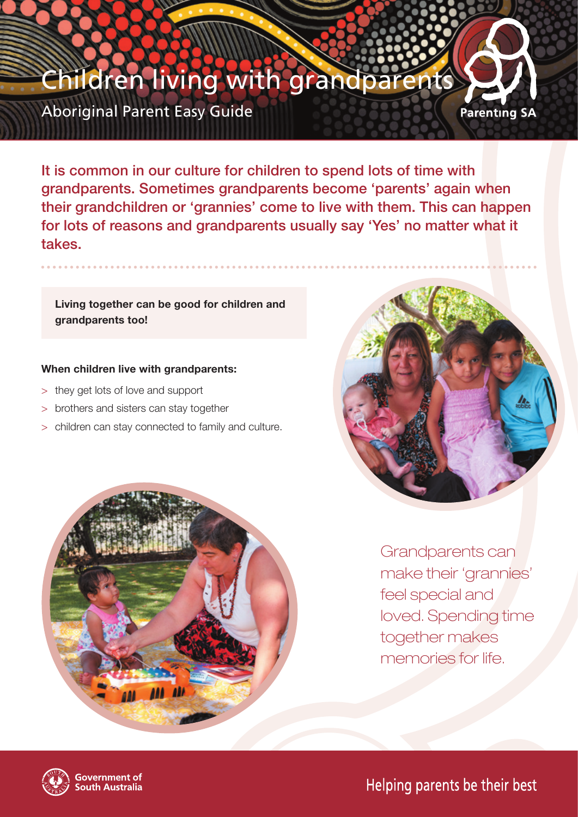# hildren living with grandpar **Parenting SA**

Aboriginal Parent Easy Guide

It is common in our culture for children to spend lots of time with grandparents. Sometimes grandparents become 'parents' again when their grandchildren or 'grannies' come to live with them. This can happen for lots of reasons and grandparents usually say 'Yes' no matter what it takes.

## **Living together can be good for children and grandparents too!**

## **When children live with grandparents:**

- > they get lots of love and support
- > brothers and sisters can stay together
- > children can stay connected to family and culture.





Grandparents can make their 'grannies' feel special and loved. Spending time together makes memories for life.



Helping parents be their best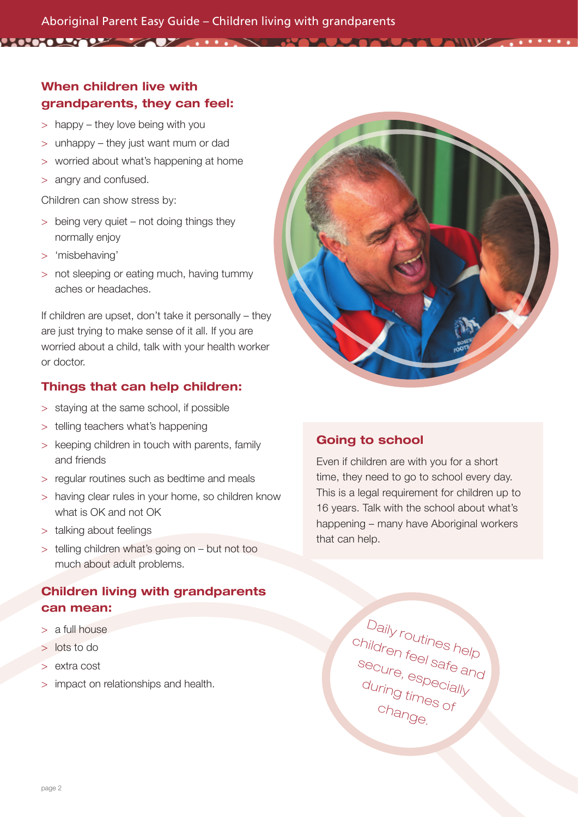# When children live with grandparents, they can feel:

- > happy they love being with you
- > unhappy they just want mum or dad
- > worried about what's happening at home
- > angry and confused.

Children can show stress by:

- > being very quiet not doing things they normally enjoy
- > 'misbehaving'
- > not sleeping or eating much, having tummy aches or headaches.

If children are upset, don't take it personally – they are just trying to make sense of it all. If you are worried about a child, talk with your health worker or doctor.

## Things that can help children:

- > staying at the same school, if possible
- > telling teachers what's happening
- > keeping children in touch with parents, family and friends
- > regular routines such as bedtime and meals
- > having clear rules in your home, so children know what is OK and not OK
- > talking about feelings
- > telling children what's going on but not too much about adult problems.

# Children living with grandparents can mean:

- > a full house
- > lots to do
- > extra cost
- > impact on relationships and health.



**TAWNA** 

# Going to school

Even if children are with you for a short time, they need to go to school every day. This is a legal requirement for children up to 16 years. Talk with the school about what's happening – many have Aboriginal workers that can help.

> Daily routines help children feel safe and secure, especially<br>during time during times of during times of<br>Change.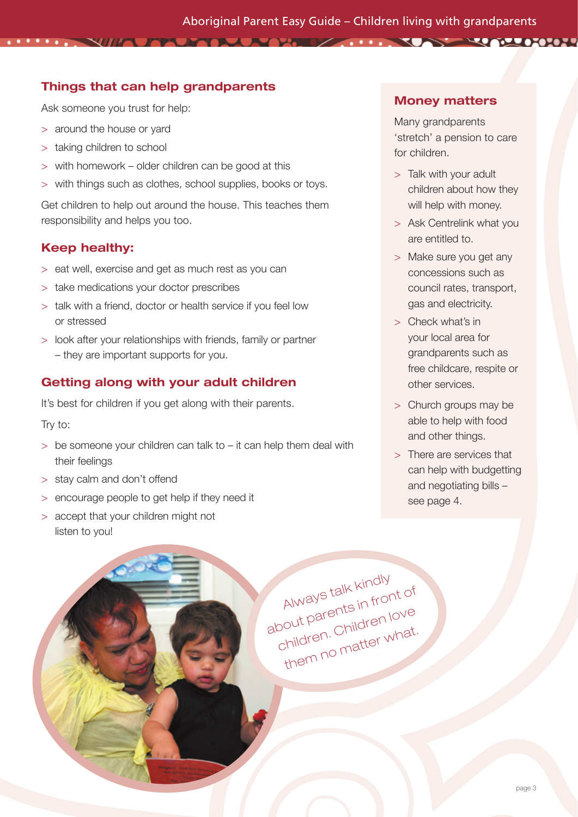**TAU MARKA DA MARKA 1999, INTERNATIONAL PROPERTY AND A STATE OF A STATE OF A STATE OF A STATE OF A STATE OF A S** 

## Things that can help grandparents

Ask someone you trust for help:

 $\sim$ 

- > around the house or yard
- > taking children to school
- > with homework older children can be good at this
- with things such as clothes, school supplies, books or toys.

Get children to help out around the house. This teaches them responsibility and helps you too.

#### Keep healthy:

- > eat well, exercise and get as much rest as you can
- > take medications your doctor prescribes
- > talk with a friend, doctor or health service if you feel low or stressed
- > look after your relationships with friends, family or partner – they are important supports for you.

## Getting along with your adult children

It's best for children if you get along with their parents.

Try to:

- $>$  be someone your children can talk to it can help them deal with their feelings
- > stay calm and don't offend
- > encourage people to get help if they need it
- > accept that your children might not listen to you!

#### Money matters

Many grandparents 'stretch' a pension to care for children.

- > Talk with your adult children about how they will help with money.
- > Ask Centrelink what you are entitled to.
- > Make sure you get any concessions such as council rates, transport, gas and electricity.
- > Check what's in your local area for grandparents such as free childcare, respite or other services.
- > Church groups may be able to help with food and other things.
- > There are services that can help with budgetting and negotiating bills – see page 4.